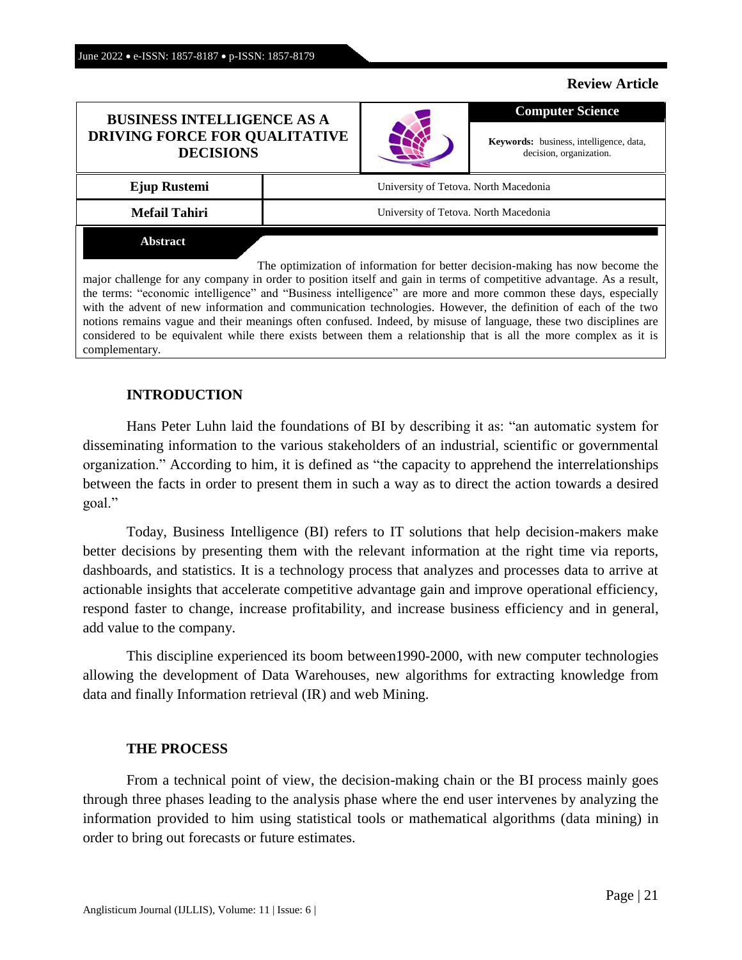#### **Review Article**

### **BUSINESS INTELLIGENCE AS A DRIVING FORCE FOR QUALITATIVE DECISIONS**



**Keywords:** business, intelligence, data, decision, organization.

**Computer Science**

**Ejup Rustemi University of Tetova. North Macedonia** 

**Mefail Tahiri V** University of Tetova. North Macedonia

**Abstract**

The optimization of information for better decision-making has now become the major challenge for any company in order to position itself and gain in terms of competitive advantage. As a result, the terms: "economic intelligence" and "Business intelligence" are more and more common these days, especially with the advent of new information and communication technologies. However, the definition of each of the two notions remains vague and their meanings often confused. Indeed, by misuse of language, these two disciplines are considered to be equivalent while there exists between them a relationship that is all the more complex as it is complementary.

# **INTRODUCTION**

Hans Peter Luhn laid the foundations of BI by describing it as: "an automatic system for disseminating information to the various stakeholders of an industrial, scientific or governmental organization." According to him, it is defined as "the capacity to apprehend the interrelationships between the facts in order to present them in such a way as to direct the action towards a desired goal."

Today, Business Intelligence (BI) refers to IT solutions that help decision-makers make better decisions by presenting them with the relevant information at the right time via reports, dashboards, and statistics. It is a technology process that analyzes and processes data to arrive at actionable insights that accelerate competitive advantage gain and improve operational efficiency, respond faster to change, increase profitability, and increase business efficiency and in general, add value to the company.

This discipline experienced its boom between1990-2000, with new computer technologies allowing the development of Data Warehouses, new algorithms for extracting knowledge from data and finally Information retrieval (IR) and web Mining.

## **THE PROCESS**

From a technical point of view, the decision-making chain or the BI process mainly goes through three phases leading to the analysis phase where the end user intervenes by analyzing the information provided to him using statistical tools or mathematical algorithms (data mining) in order to bring out forecasts or future estimates.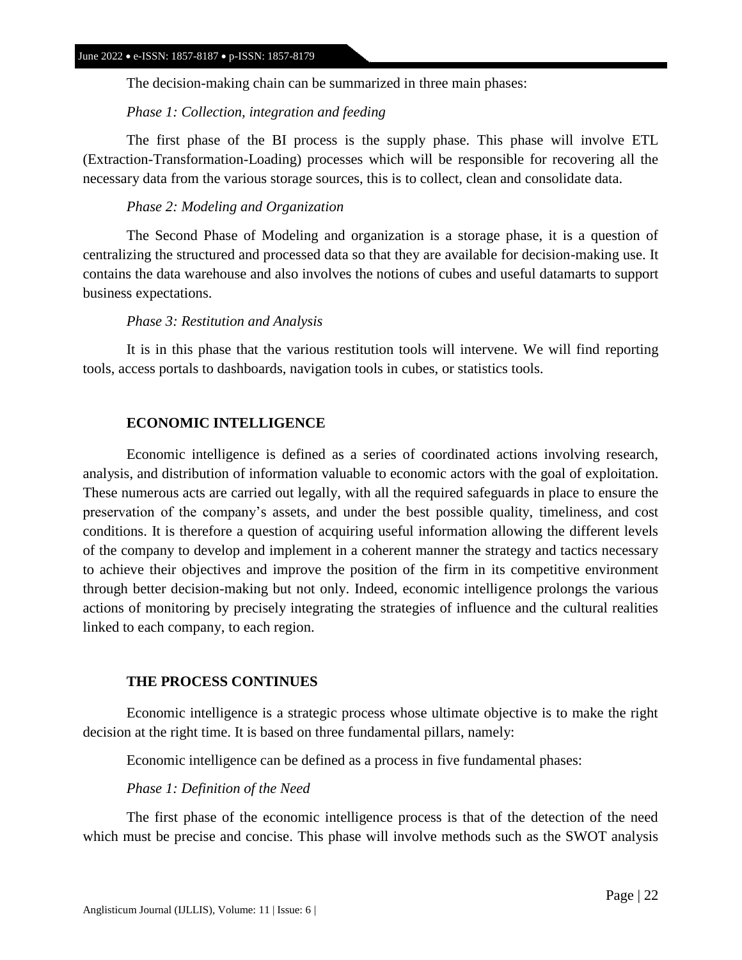The decision-making chain can be summarized in three main phases:

#### *Phase 1: Collection, integration and feeding*

The first phase of the BI process is the supply phase. This phase will involve ETL (Extraction-Transformation-Loading) processes which will be responsible for recovering all the necessary data from the various storage sources, this is to collect, clean and consolidate data.

### *Phase 2: Modeling and Organization*

The Second Phase of Modeling and organization is a storage phase, it is a question of centralizing the structured and processed data so that they are available for decision-making use. It contains the data warehouse and also involves the notions of cubes and useful datamarts to support business expectations.

### *Phase 3: Restitution and Analysis*

It is in this phase that the various restitution tools will intervene. We will find reporting tools, access portals to dashboards, navigation tools in cubes, or statistics tools.

## **ECONOMIC INTELLIGENCE**

Economic intelligence is defined as a series of coordinated actions involving research, analysis, and distribution of information valuable to economic actors with the goal of exploitation. These numerous acts are carried out legally, with all the required safeguards in place to ensure the preservation of the company's assets, and under the best possible quality, timeliness, and cost conditions. It is therefore a question of acquiring useful information allowing the different levels of the company to develop and implement in a coherent manner the strategy and tactics necessary to achieve their objectives and improve the position of the firm in its competitive environment through better decision-making but not only. Indeed, economic intelligence prolongs the various actions of monitoring by precisely integrating the strategies of influence and the cultural realities linked to each company, to each region.

## **THE PROCESS CONTINUES**

Economic intelligence is a strategic process whose ultimate objective is to make the right decision at the right time. It is based on three fundamental pillars, namely:

Economic intelligence can be defined as a process in five fundamental phases:

#### *Phase 1: Definition of the Need*

The first phase of the economic intelligence process is that of the detection of the need which must be precise and concise. This phase will involve methods such as the SWOT analysis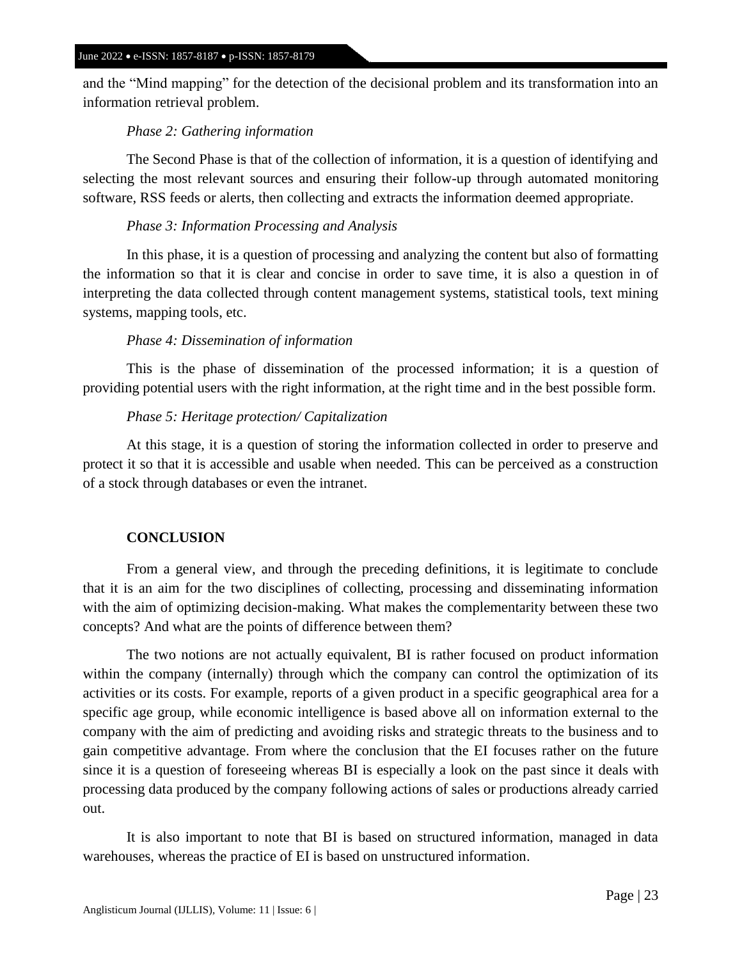and the "Mind mapping" for the detection of the decisional problem and its transformation into an information retrieval problem.

# *Phase 2: Gathering information*

The Second Phase is that of the collection of information, it is a question of identifying and selecting the most relevant sources and ensuring their follow-up through automated monitoring software, RSS feeds or alerts, then collecting and extracts the information deemed appropriate.

## *Phase 3: Information Processing and Analysis*

In this phase, it is a question of processing and analyzing the content but also of formatting the information so that it is clear and concise in order to save time, it is also a question in of interpreting the data collected through content management systems, statistical tools, text mining systems, mapping tools, etc.

## *Phase 4: Dissemination of information*

This is the phase of dissemination of the processed information; it is a question of providing potential users with the right information, at the right time and in the best possible form.

## *Phase 5: Heritage protection/ Capitalization*

At this stage, it is a question of storing the information collected in order to preserve and protect it so that it is accessible and usable when needed. This can be perceived as a construction of a stock through databases or even the intranet.

# **CONCLUSION**

From a general view, and through the preceding definitions, it is legitimate to conclude that it is an aim for the two disciplines of collecting, processing and disseminating information with the aim of optimizing decision-making. What makes the complementarity between these two concepts? And what are the points of difference between them?

The two notions are not actually equivalent, BI is rather focused on product information within the company (internally) through which the company can control the optimization of its activities or its costs. For example, reports of a given product in a specific geographical area for a specific age group, while economic intelligence is based above all on information external to the company with the aim of predicting and avoiding risks and strategic threats to the business and to gain competitive advantage. From where the conclusion that the EI focuses rather on the future since it is a question of foreseeing whereas BI is especially a look on the past since it deals with processing data produced by the company following actions of sales or productions already carried out.

It is also important to note that BI is based on structured information, managed in data warehouses, whereas the practice of EI is based on unstructured information.